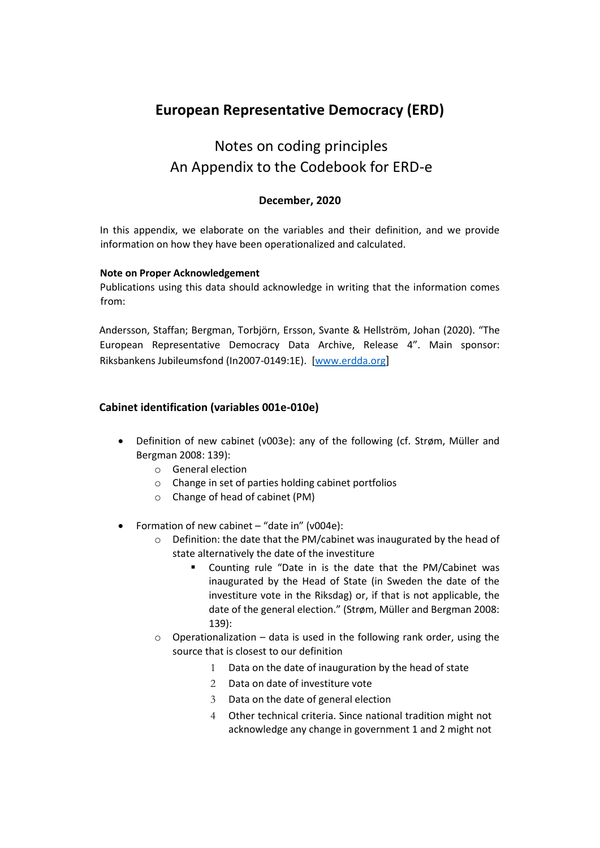## **European Representative Democracy (ERD)**

# Notes on coding principles An Appendix to the Codebook for ERD-e

## **December, 2020**

In this appendix, we elaborate on the variables and their definition, and we provide information on how they have been operationalized and calculated.

#### **Note on Proper Acknowledgement**

Publications using this data should acknowledge in writing that the information comes from:

Andersson, Staffan; Bergman, Torbjörn, Ersson, Svante & Hellström, Johan (2020). "The European Representative Democracy Data Archive, Release 4". Main sponsor: Riksbankens Jubileumsfond (In2007-0149:1E). [\[www.erdda.org](file:///C:/Users/Johan/Downloads/www.erdda.org)[\]](http://www.erdda.se/)

## **Cabinet identification (variables 001e-010e)**

- Definition of new cabinet (v003e): any of the following (cf. Strøm, Müller and Bergman 2008: 139):
	- o General election
	- o Change in set of parties holding cabinet portfolios
	- o Change of head of cabinet (PM)
- Formation of new cabinet "date in" (v004e):
	- o Definition: the date that the PM/cabinet was inaugurated by the head of state alternatively the date of the investiture
		- Counting rule "Date in is the date that the PM/Cabinet was inaugurated by the Head of State (in Sweden the date of the investiture vote in the Riksdag) or, if that is not applicable, the date of the general election." (Strøm, Müller and Bergman 2008: 139):
	- $\circ$  Operationalization data is used in the following rank order, using the source that is closest to our definition
		- 1 Data on the date of inauguration by the head of state
		- 2 Data on date of investiture vote
		- 3 Data on the date of general election
		- 4 Other technical criteria. Since national tradition might not acknowledge any change in government 1 and 2 might not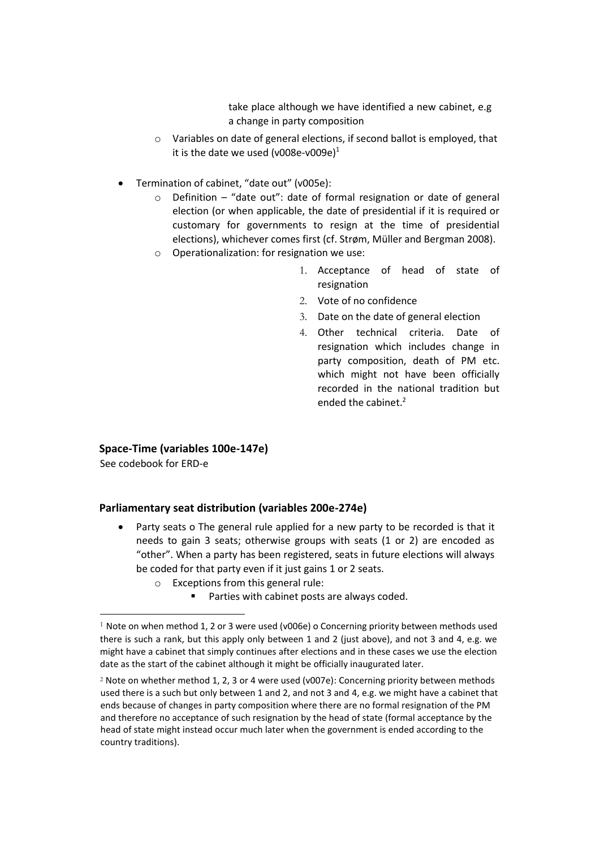take place although we have identified a new cabinet, e.g a change in party composition

- o Variables on date of general elections, if second ballot is employed, that it is the date we used (v008e-v009e) $1$
- Termination of cabinet, "date out" (v005e):
	- $\circ$  Definition "date out": date of formal resignation or date of general election (or when applicable, the date of presidential if it is required or customary for governments to resign at the time of presidential elections), whichever comes first (cf. Strøm, Müller and Bergman 2008).
	- o Operationalization: for resignation we use:
		- 1. Acceptance of head of state of resignation
		- 2. Vote of no confidence
		- 3. Date on the date of general election
		- 4. Other technical criteria. Date of resignation which includes change in party composition, death of PM etc. which might not have been officially recorded in the national tradition but ended the cabinet.<sup>2</sup>

**Space-Time (variables 100e-147e)** 

See codebook for ERD-e

#### **Parliamentary seat distribution (variables 200e-274e)**

- Party seats o The general rule applied for a new party to be recorded is that it needs to gain 3 seats; otherwise groups with seats (1 or 2) are encoded as "other". When a party has been registered, seats in future elections will always be coded for that party even if it just gains 1 or 2 seats.
	- o Exceptions from this general rule:
		- Parties with cabinet posts are always coded.

<sup>&</sup>lt;sup>1</sup> Note on when method 1, 2 or 3 were used (v006e) o Concerning priority between methods used there is such a rank, but this apply only between 1 and 2 (just above), and not 3 and 4, e.g. we might have a cabinet that simply continues after elections and in these cases we use the election date as the start of the cabinet although it might be officially inaugurated later.

<sup>&</sup>lt;sup>2</sup> Note on whether method 1, 2, 3 or 4 were used (v007e): Concerning priority between methods used there is a such but only between 1 and 2, and not 3 and 4, e.g. we might have a cabinet that ends because of changes in party composition where there are no formal resignation of the PM and therefore no acceptance of such resignation by the head of state (formal acceptance by the head of state might instead occur much later when the government is ended according to the country traditions).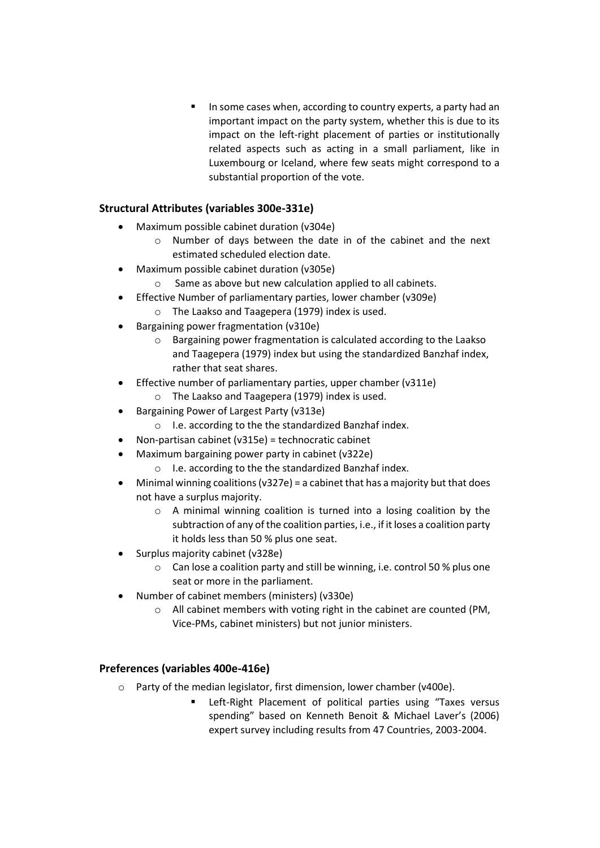In some cases when, according to country experts, a party had an important impact on the party system, whether this is due to its impact on the left-right placement of parties or institutionally related aspects such as acting in a small parliament, like in Luxembourg or Iceland, where few seats might correspond to a substantial proportion of the vote.

## **Structural Attributes (variables 300e-331e)**

- Maximum possible cabinet duration (v304e)
	- o Number of days between the date in of the cabinet and the next estimated scheduled election date.
- Maximum possible cabinet duration (v305e)
	- o Same as above but new calculation applied to all cabinets.
	- Effective Number of parliamentary parties, lower chamber (v309e)
	- o The Laakso and Taagepera (1979) index is used.
- Bargaining power fragmentation (v310e)
	- o Bargaining power fragmentation is calculated according to the Laakso and Taagepera (1979) index but using the standardized Banzhaf index, rather that seat shares.
- Effective number of parliamentary parties, upper chamber (v311e)
	- o The Laakso and Taagepera (1979) index is used.
- Bargaining Power of Largest Party (v313e)
	- o I.e. according to the the standardized Banzhaf index.
- Non-partisan cabinet (v315e) = technocratic cabinet
- Maximum bargaining power party in cabinet (v322e)
	- o I.e. according to the the standardized Banzhaf index.
- Minimal winning coalitions ( $v327e$ ) = a cabinet that has a majority but that does not have a surplus majority.
	- o A minimal winning coalition is turned into a losing coalition by the subtraction of any of the coalition parties, i.e., if it loses a coalition party it holds less than 50 % plus one seat.
- Surplus majority cabinet (v328e)
	- o Can lose a coalition party and still be winning, i.e. control 50 % plus one seat or more in the parliament.
- Number of cabinet members (ministers) (v330e)
	- o All cabinet members with voting right in the cabinet are counted (PM, Vice-PMs, cabinet ministers) but not junior ministers.

## **Preferences (variables 400e-416e)**

- o Party of the median legislator, first dimension, lower chamber (v400e).
	- Left-Right Placement of political parties using "Taxes versus spending" based on Kenneth Benoit & Michael Laver's (2006) expert survey including results from 47 Countries, 2003-2004.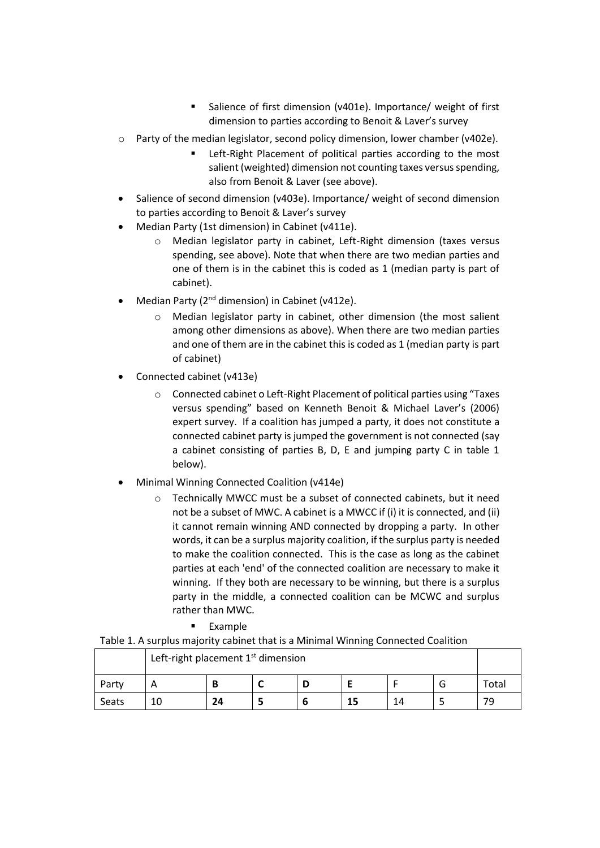- Salience of first dimension (v401e). Importance/ weight of first dimension to parties according to Benoit & Laver's survey
- $\circ$  Party of the median legislator, second policy dimension, lower chamber (v402e).
	- Left-Right Placement of political parties according to the most salient (weighted) dimension not counting taxes versus spending, also from Benoit & Laver (see above).
- Salience of second dimension (v403e). Importance/ weight of second dimension to parties according to Benoit & Laver's survey
- Median Party (1st dimension) in Cabinet (v411e).
	- o Median legislator party in cabinet, Left-Right dimension (taxes versus spending, see above). Note that when there are two median parties and one of them is in the cabinet this is coded as 1 (median party is part of cabinet).
- Median Party ( $2^{nd}$  dimension) in Cabinet ( $v412e$ ).
	- o Median legislator party in cabinet, other dimension (the most salient among other dimensions as above). When there are two median parties and one of them are in the cabinet this is coded as 1 (median party is part of cabinet)
- Connected cabinet (v413e)
	- o Connected cabinet o Left-Right Placement of political parties using "Taxes versus spending" based on Kenneth Benoit & Michael Laver's (2006) expert survey. If a coalition has jumped a party, it does not constitute a connected cabinet party is jumped the government is not connected (say a cabinet consisting of parties B, D, E and jumping party C in table 1 below).
- Minimal Winning Connected Coalition (v414e)
	- o Technically MWCC must be a subset of connected cabinets, but it need not be a subset of MWC. A cabinet is a MWCC if (i) it is connected, and (ii) it cannot remain winning AND connected by dropping a party. In other words, it can be a surplus majority coalition, if the surplus party is needed to make the coalition connected. This is the case as long as the cabinet parties at each 'end' of the connected coalition are necessary to make it winning. If they both are necessary to be winning, but there is a surplus party in the middle, a connected coalition can be MCWC and surplus rather than MWC.
		- **Example**

Table 1. A surplus majority cabinet that is a Minimal Winning Connected Coalition

|       | Left-right placement $1st$ dimension |    |  |  |  |    |  |       |
|-------|--------------------------------------|----|--|--|--|----|--|-------|
| Party | Α                                    | В  |  |  |  |    |  | Total |
| Seats | 10                                   | 24 |  |  |  | 14 |  | 79.   |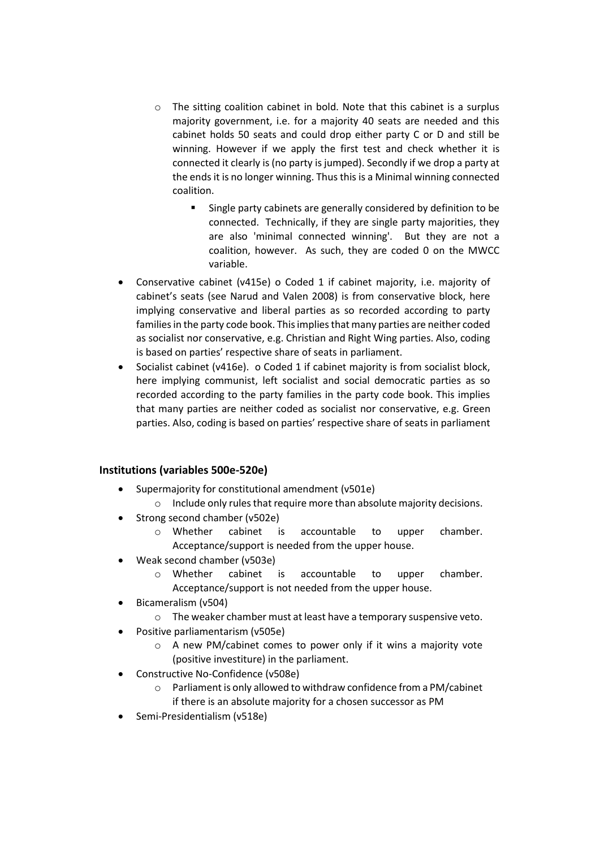- o The sitting coalition cabinet in bold. Note that this cabinet is a surplus majority government, i.e. for a majority 40 seats are needed and this cabinet holds 50 seats and could drop either party C or D and still be winning. However if we apply the first test and check whether it is connected it clearly is (no party is jumped). Secondly if we drop a party at the ends it is no longer winning. Thus this is a Minimal winning connected coalition.
	- Single party cabinets are generally considered by definition to be connected. Technically, if they are single party majorities, they are also 'minimal connected winning'. But they are not a coalition, however. As such, they are coded 0 on the MWCC variable.
- Conservative cabinet (v415e) o Coded 1 if cabinet majority, i.e. majority of cabinet's seats (see Narud and Valen 2008) is from conservative block, here implying conservative and liberal parties as so recorded according to party families in the party code book. This implies that many parties are neither coded as socialist nor conservative, e.g. Christian and Right Wing parties. Also, coding is based on parties' respective share of seats in parliament.
- Socialist cabinet (v416e). o Coded 1 if cabinet majority is from socialist block, here implying communist, left socialist and social democratic parties as so recorded according to the party families in the party code book. This implies that many parties are neither coded as socialist nor conservative, e.g. Green parties. Also, coding is based on parties' respective share of seats in parliament

## **Institutions (variables 500e-520e)**

- Supermajority for constitutional amendment (v501e)
	- o Include only rules that require more than absolute majority decisions.
- Strong second chamber (v502e)
	- o Whether cabinet is accountable to upper chamber. Acceptance/support is needed from the upper house.
- Weak second chamber (v503e)
	- o Whether cabinet is accountable to upper chamber. Acceptance/support is not needed from the upper house.
- Bicameralism (v504)
	- o The weaker chamber must at least have a temporary suspensive veto.
	- Positive parliamentarism (v505e)
		- o A new PM/cabinet comes to power only if it wins a majority vote (positive investiture) in the parliament.
- Constructive No-Confidence (v508e)
	- Parliament is only allowed to withdraw confidence from a PM/cabinet if there is an absolute majority for a chosen successor as PM
- Semi-Presidentialism (v518e)